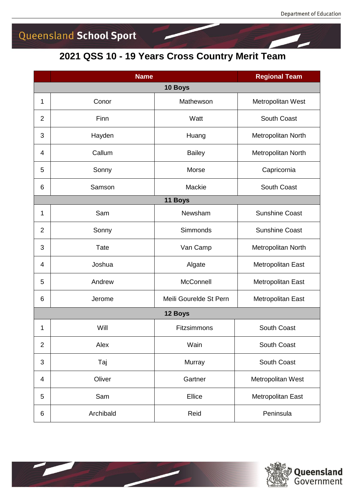## Queensland School Sport

#### **QSS 10 - 19 Years Cross Country Merit Team**

|                | <b>Name</b> | <b>Regional Team</b>   |                       |  |  |  |
|----------------|-------------|------------------------|-----------------------|--|--|--|
|                |             | 10 Boys                |                       |  |  |  |
| 1              | Conor       | Mathewson              | Metropolitan West     |  |  |  |
| $\overline{2}$ | Finn        | Watt                   | South Coast           |  |  |  |
| 3              | Hayden      | Huang                  | Metropolitan North    |  |  |  |
| 4              | Callum      | <b>Bailey</b>          | Metropolitan North    |  |  |  |
| 5              | Sonny       | Morse                  | Capricornia           |  |  |  |
| 6              | Samson      | Mackie                 | <b>South Coast</b>    |  |  |  |
| 11 Boys        |             |                        |                       |  |  |  |
| 1              | Sam         | Newsham                | <b>Sunshine Coast</b> |  |  |  |
| $\overline{2}$ | Sonny       | Simmonds               | <b>Sunshine Coast</b> |  |  |  |
| 3              | <b>Tate</b> | Van Camp               | Metropolitan North    |  |  |  |
| 4              | Joshua      | Algate                 | Metropolitan East     |  |  |  |
| 5              | Andrew      | <b>McConnell</b>       | Metropolitan East     |  |  |  |
| 6              | Jerome      | Meili Gourelde St Pern | Metropolitan East     |  |  |  |
| 12 Boys        |             |                        |                       |  |  |  |
| 1              | Will        | Fitzsimmons            | South Coast           |  |  |  |
| $\overline{2}$ | Alex        | Wain                   | South Coast           |  |  |  |
| 3              | Taj         | Murray                 | South Coast           |  |  |  |
| 4              | Oliver      | Gartner                | Metropolitan West     |  |  |  |
| 5              | Sam         | Ellice                 | Metropolitan East     |  |  |  |
| 6              | Archibald   | Reid                   | Peninsula             |  |  |  |



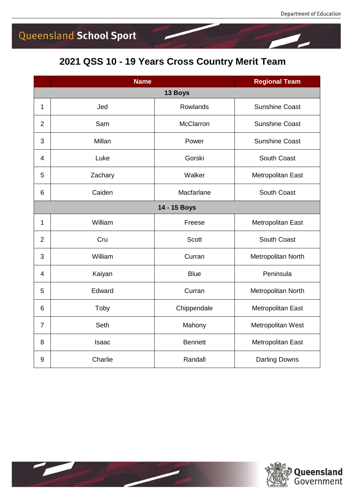# Queensland School Sport

### **2021 QSS 10 - 19 Years Cross Country Merit Team**

|                | <b>Name</b> |                  | <b>Regional Team</b>  |  |  |  |
|----------------|-------------|------------------|-----------------------|--|--|--|
| 13 Boys        |             |                  |                       |  |  |  |
| $\mathbf{1}$   | Jed         | Rowlands         | <b>Sunshine Coast</b> |  |  |  |
| $\overline{2}$ | Sam         | <b>McClarron</b> | <b>Sunshine Coast</b> |  |  |  |
| 3              | Millan      | Power            | <b>Sunshine Coast</b> |  |  |  |
| $\overline{4}$ | Luke        | Gorski           | South Coast           |  |  |  |
| 5              | Zachary     | Walker           | Metropolitan East     |  |  |  |
| 6              | Caiden      | Macfarlane       | South Coast           |  |  |  |
| 14 - 15 Boys   |             |                  |                       |  |  |  |
| 1              | William     | Freese           | Metropolitan East     |  |  |  |
| $\overline{2}$ | Cru         | <b>Scott</b>     | South Coast           |  |  |  |
| 3              | William     | Curran           | Metropolitan North    |  |  |  |
| $\overline{4}$ | Kaiyan      | <b>Blue</b>      | Peninsula             |  |  |  |
| 5              | Edward      | Curran           | Metropolitan North    |  |  |  |
| 6              | Toby        | Chippendale      | Metropolitan East     |  |  |  |
| $\overline{7}$ | Seth        | Mahony           | Metropolitan West     |  |  |  |
| 8              | Isaac       | <b>Bennett</b>   | Metropolitan East     |  |  |  |
| 9              | Charlie     | Randall          | <b>Darling Downs</b>  |  |  |  |